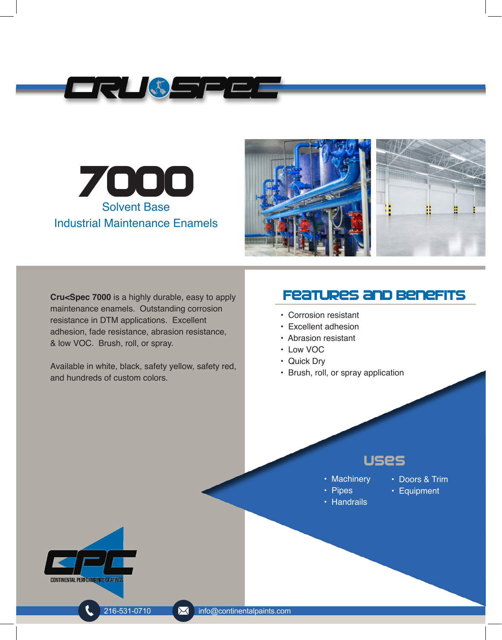





**Cru<Spec 7000** is a highly durable, easy to apply maintenance enamels. Outstanding corrosion resistance in DTM applications. Excellent adhesion, fade resistance, abrasion resistance, & low VOC. Brush, roll, or spray.

Available in white, black, safety yellow, safety red, and hundreds of custom colors.

## Features and benefits

- Corrosion resistant
- Excellent adhesion
- Abrasion resistant
- Low VOC
- Quick Dry
- Brush, roll, or spray application

## Uses

- Machinery
- Doors & Trim
- Pipes • Handrails
- Equipment

**CONTINENTAL PERFORMANCE COATING**